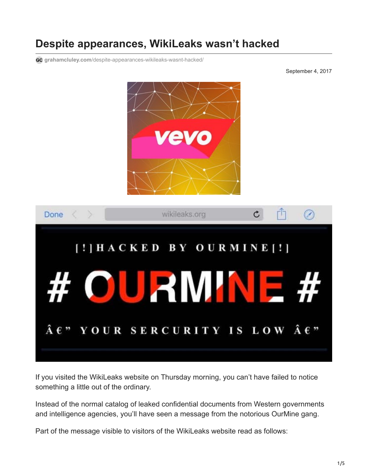## **Despite appearances, WikiLeaks wasn't hacked**

**grahamcluley.com**[/despite-appearances-wikileaks-wasnt-hacked/](https://www.grahamcluley.com/despite-appearances-wikileaks-wasnt-hacked/)

September 4, 2017



If you visited the WikiLeaks website on Thursday morning, you can't have failed to notice something a little out of the ordinary.

Instead of the normal catalog of leaked confidential documents from Western governments and intelligence agencies, you'll have seen a message from the notorious OurMine gang.

Part of the message visible to visitors of the WikiLeaks website read as follows: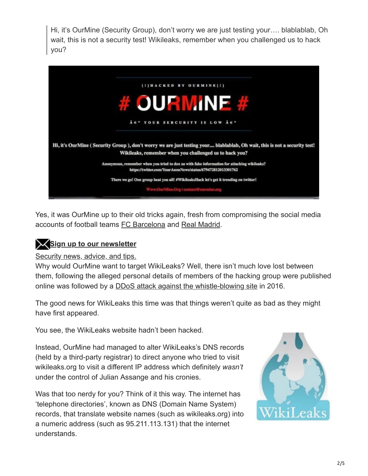Hi, it's OurMine (Security Group), don't worry we are just testing your…. blablablab, Oh wait, this is not a security test! Wikileaks, remember when you challenged us to hack you?



Yes, it was OurMine up to their old tricks again, fresh from compromising the social media accounts of football teams [FC Barcelona](https://grahamcluley.com/barcelona-social-media-hacked/) and [Real Madrid.](http://indianexpress.com/article/sports/football/real-madrid-welcomes-lionel-messi-after-online-twitter-facebook-account-gets-hacked-4814347/)

## **Sign up to our newsletter**

[Security news, advice, and tips.](https://www.grahamcluley.com/gchq-newsletter/)

Why would OurMine want to target WikiLeaks? Well, there isn't much love lost between them, following the alleged personal details of members of the hacking group were published online was followed by a **[DDoS attack against the whistle-blowing site](https://hotforsecurity.bitdefender.com/blog/wikileaks-knocked-offline-in-ongoing-feud-between-ourmine-hacking-gang-and-anonymous-14918.html)** in 2016.

The good news for WikiLeaks this time was that things weren't quite as bad as they might have first appeared.

You see, the WikiLeaks website hadn't been hacked.

Instead, OurMine had managed to alter WikiLeaks's DNS records (held by a third-party registrar) to direct anyone who tried to visit wikileaks.org to visit a different IP address which definitely *wasn't* under the control of Julian Assange and his cronies.

Was that too nerdy for you? Think of it this way. The internet has 'telephone directories', known as DNS (Domain Name System) records, that translate website names (such as wikileaks.org) into a numeric address (such as 95.211.113.131) that the internet understands.

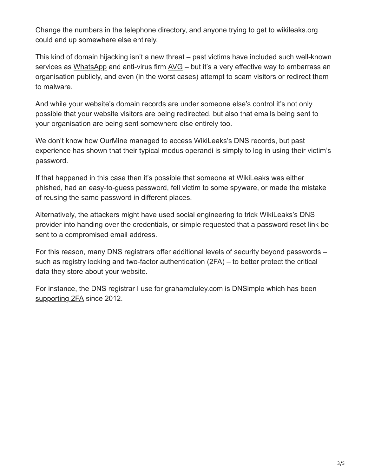Change the numbers in the telephone directory, and anyone trying to get to wikileaks.org could end up somewhere else entirely.

This kind of domain hijacking isn't a new threat – past victims have included such well-known services as [WhatsApp](https://grahamcluley.com/whatsapp-hacked-offline/) and anti-virus firm [AVG](https://grahamcluley.com/avg-website-palestinian-hackers/) – but it's a very effective way to embarrass an [organisation publicly, and even \(in the worst cases\) attempt to scam visitors or redirect them](https://www.theregister.co.uk/2017/07/13/swiss_domain_name_hijack/) to malware.

And while your website's domain records are under someone else's control it's not only possible that your website visitors are being redirected, but also that emails being sent to your organisation are being sent somewhere else entirely too.

We don't know how OurMine managed to access WikiLeaks's DNS records, but past experience has shown that their typical modus operandi is simply to log in using their victim's password.

If that happened in this case then it's possible that someone at WikiLeaks was either phished, had an easy-to-guess password, fell victim to some spyware, or made the mistake of reusing the same password in different places.

Alternatively, the attackers might have used social engineering to trick WikiLeaks's DNS provider into handing over the credentials, or simple requested that a password reset link be sent to a compromised email address.

For this reason, many DNS registrars offer additional levels of security beyond passwords – such as registry locking and two-factor authentication (2FA) – to better protect the critical data they store about your website.

For instance, the DNS registrar I use for grahamcluley.com is DNSimple which has been [supporting 2FA](https://support.dnsimple.com/articles/two-factor-authentication/) since 2012.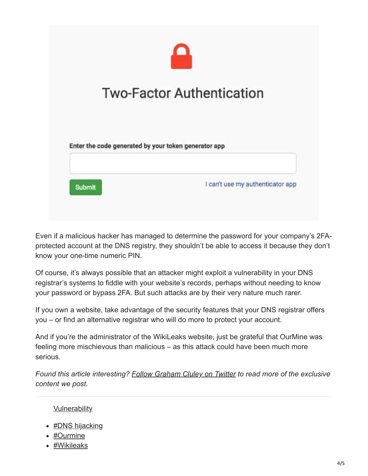

Even if a malicious hacker has managed to determine the password for your company's 2FAprotected account at the DNS registry, they shouldn't be able to access it because they don't know your one-time numeric PIN.

Of course, it's always possible that an attacker might exploit a vulnerability in your DNS registrar's systems to fiddle with your website's records, perhaps without needing to know your password or bypass 2FA. But such attacks are by their very nature much rarer.

If you own a website, take advantage of the security features that your DNS registrar offers you – or find an alternative registrar who will do more to protect your account.

And if you're the administrator of the WikiLeaks website, just be grateful that OurMine was feeling more mischievous than malicious – as this attack could have been much more serious.

*Found this article interesting? [Follow Graham Cluley on Twitter](https://twitter.com/intent/follow?screen_name=gcluley) to read more of the exclusive content we post.*

## **[Vulnerability](https://grahamcluley.com/category/security-threats/vulnerability/)**

- [#DNS hijacking](https://grahamcluley.com/tag/dns-hijacking/)
- [#Ourmine](https://grahamcluley.com/tag/ourmine/)
- [#Wikileaks](https://grahamcluley.com/tag/wikileaks/)